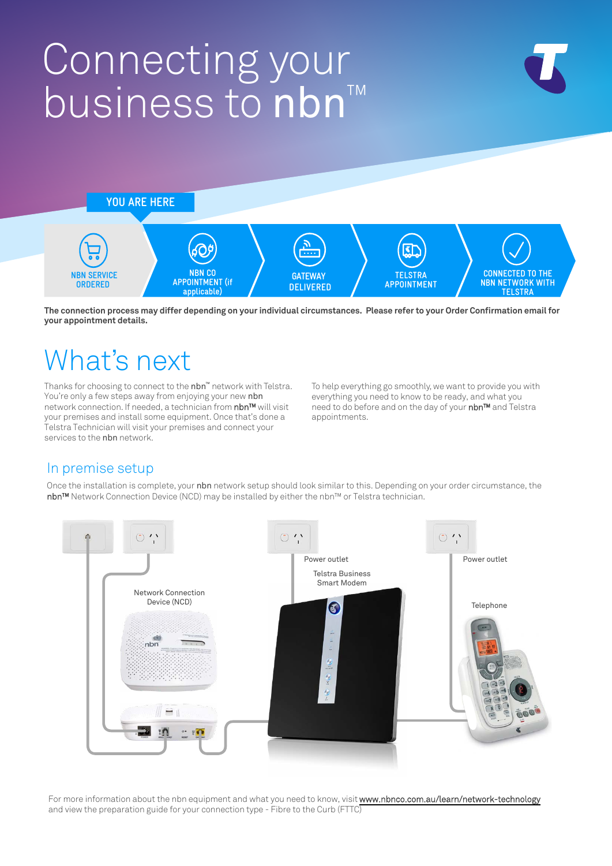#### $\bigcap$ A new way to help you r vitte en Connecting your business to nbn™





**The connection process may differ depending on your individual circumstances. Please refer to your Order Confirmation email for your appointment details.**

## What's next

Thanks for choosing to connect to the nbn™ network with Telstra. You're only a few steps away from enjoying your new nbn network connection. If needed, a technician from nbn™ will visit your premises and install some equipment. Once that's done a Telstra Technician will visit your premises and connect your services to the nbn network.

To help everything go smoothly, we want to provide you with everything you need to know to be ready, and what you need to do before and on the day of your nbn™ and Telstra appointments.

#### In premise setup

Once the installation is complete, your nbn network setup should look similar to this. Depending on your order circumstance, the nbn™ Network Connection Device (NCD) may be installed by either the nbn™ or Telstra technician.



For more information about the nbn equipment and what you need to know, visit [www.nbnco.com.au/learn/network-technology](https://www.nbnco.com.au/content/dam/nbnco2/documents/preparing-guide/Preparing_Guide_FTTC.pdf) and view the preparation guide for your connection type - Fibre to the Curb (FTTC)